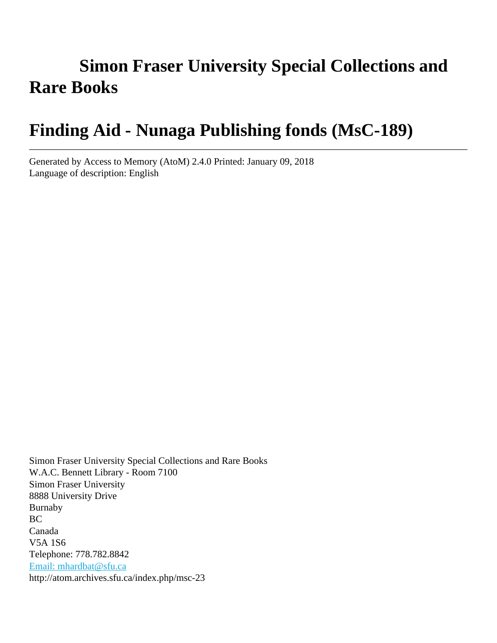# **Simon Fraser University Special Collections and Rare Books**

# **Finding Aid - Nunaga Publishing fonds (MsC-189)**

Generated by Access to Memory (AtoM) 2.4.0 Printed: January 09, 2018 Language of description: English

Simon Fraser University Special Collections and Rare Books W.A.C. Bennett Library - Room 7100 Simon Fraser University 8888 University Drive Burnaby BC Canada V5A 1S6 Telephone: 778.782.8842 [Email: mhardbat@sfu.ca](mailto:Email: mhardbat@sfu.ca) http://atom.archives.sfu.ca/index.php/msc-23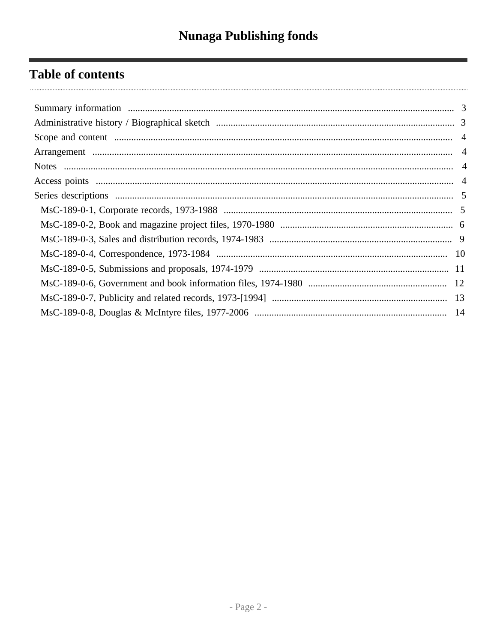## **Table of contents**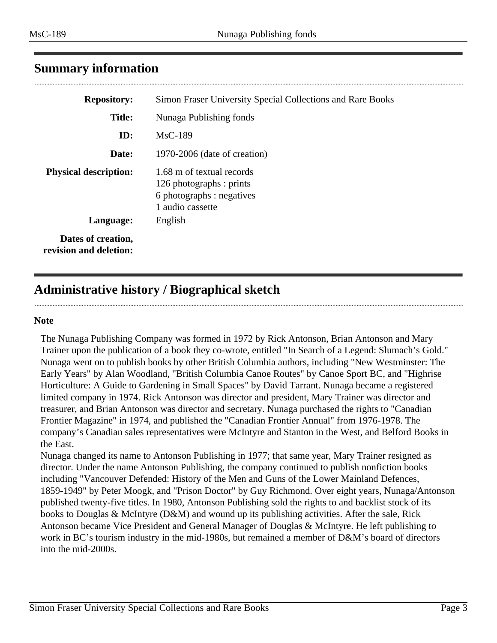<span id="page-2-0"></span>

|  | <b>Summary information</b> |
|--|----------------------------|
|--|----------------------------|

| <b>Repository:</b>                           | Simon Fraser University Special Collections and Rare Books                                             |
|----------------------------------------------|--------------------------------------------------------------------------------------------------------|
| <b>Title:</b>                                | Nunaga Publishing fonds                                                                                |
| ID:                                          | $MsC-189$                                                                                              |
| Date:                                        | 1970-2006 (date of creation)                                                                           |
| <b>Physical description:</b>                 | 1.68 m of textual records<br>126 photographs : prints<br>6 photographs : negatives<br>1 audio cassette |
| Language:                                    | English                                                                                                |
| Dates of creation,<br>revision and deletion: |                                                                                                        |

## <span id="page-2-1"></span>**Administrative history / Biographical sketch**

#### **Note**

The Nunaga Publishing Company was formed in 1972 by Rick Antonson, Brian Antonson and Mary Trainer upon the publication of a book they co-wrote, entitled "In Search of a Legend: Slumach's Gold." Nunaga went on to publish books by other British Columbia authors, including "New Westminster: The Early Years" by Alan Woodland, "British Columbia Canoe Routes" by Canoe Sport BC, and "Highrise Horticulture: A Guide to Gardening in Small Spaces" by David Tarrant. Nunaga became a registered limited company in 1974. Rick Antonson was director and president, Mary Trainer was director and treasurer, and Brian Antonson was director and secretary. Nunaga purchased the rights to "Canadian Frontier Magazine" in 1974, and published the "Canadian Frontier Annual" from 1976-1978. The company's Canadian sales representatives were McIntyre and Stanton in the West, and Belford Books in the East.

Nunaga changed its name to Antonson Publishing in 1977; that same year, Mary Trainer resigned as director. Under the name Antonson Publishing, the company continued to publish nonfiction books including "Vancouver Defended: History of the Men and Guns of the Lower Mainland Defences, 1859-1949" by Peter Moogk, and "Prison Doctor" by Guy Richmond. Over eight years, Nunaga/Antonson published twenty-five titles. In 1980, Antonson Publishing sold the rights to and backlist stock of its books to Douglas & McIntyre (D&M) and wound up its publishing activities. After the sale, Rick Antonson became Vice President and General Manager of Douglas & McIntyre. He left publishing to work in BC's tourism industry in the mid-1980s, but remained a member of D&M's board of directors into the mid-2000s.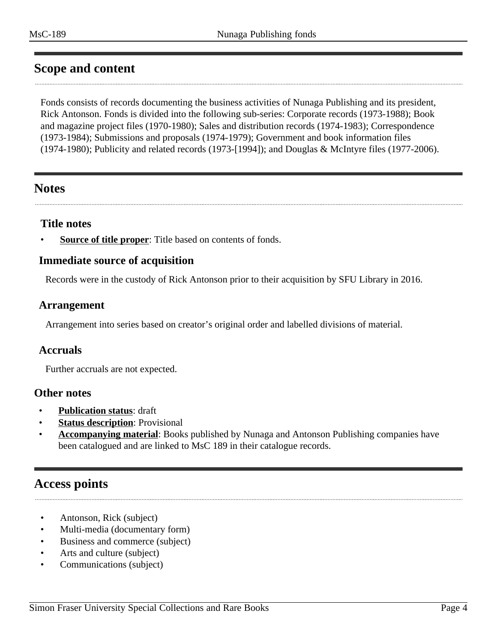## <span id="page-3-0"></span>**Scope and content**

Fonds consists of records documenting the business activities of Nunaga Publishing and its president, Rick Antonson. Fonds is divided into the following sub-series: Corporate records (1973-1988); Book and magazine project files (1970-1980); Sales and distribution records (1974-1983); Correspondence (1973-1984); Submissions and proposals (1974-1979); Government and book information files (1974-1980); Publicity and related records (1973-[1994]); and Douglas & McIntyre files (1977-2006).

## <span id="page-3-2"></span>**Notes**

#### **Title notes**

**Source of title proper**: Title based on contents of fonds.

#### **Immediate source of acquisition**

Records were in the custody of Rick Antonson prior to their acquisition by SFU Library in 2016.

#### <span id="page-3-1"></span>**Arrangement**

Arrangement into series based on creator's original order and labelled divisions of material.

#### **Accruals**

Further accruals are not expected.

#### **Other notes**

- **Publication status**: draft
- **Status description:** Provisional
- **Accompanying material**: Books published by Nunaga and Antonson Publishing companies have been catalogued and are linked to MsC 189 in their catalogue records.

## <span id="page-3-3"></span>**Access points**

- Antonson, Rick (subject)
- Multi-media (documentary form)
- Business and commerce (subject)
- Arts and culture (subject)
- Communications (subject)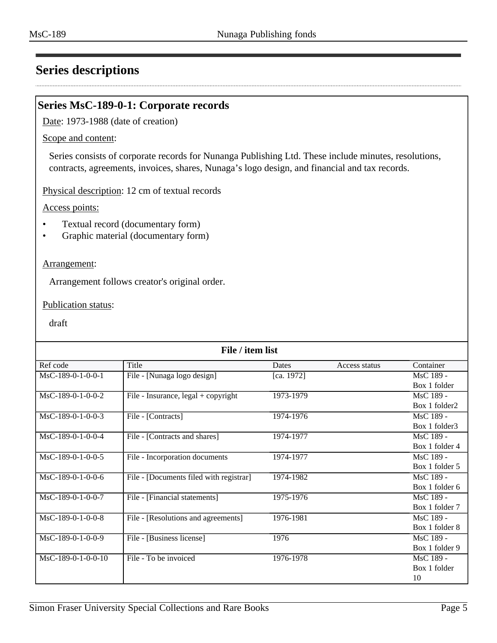## <span id="page-4-0"></span>**Series descriptions**

#### <span id="page-4-1"></span>**Series MsC-189-0-1: Corporate records**

Date: 1973-1988 (date of creation)

#### Scope and content:

Series consists of corporate records for Nunanga Publishing Ltd. These include minutes, resolutions, contracts, agreements, invoices, shares, Nunaga's logo design, and financial and tax records.

Physical description: 12 cm of textual records

Access points:

- Textual record (documentary form)
- Graphic material (documentary form)

#### Arrangement:

Arrangement follows creator's original order.

Publication status:

| File / item list     |                                         |            |               |                |
|----------------------|-----------------------------------------|------------|---------------|----------------|
| Ref code             | Title                                   | Dates      | Access status | Container      |
| MsC-189-0-1-0-0-1    | File - [Nunaga logo design]             | [ca. 1972] |               | MsC 189 -      |
|                      |                                         |            |               | Box 1 folder   |
| $MsC-189-0-1-0-0-2$  | File - Insurance, legal + copyright     | 1973-1979  |               | MsC 189 -      |
|                      |                                         |            |               | Box 1 folder2  |
| $MsC-189-0-1-0-0-3$  | File - [Contracts]                      | 1974-1976  |               | MsC 189 -      |
|                      |                                         |            |               | Box 1 folder3  |
| $MsC-189-0-1-0-0-4$  | File - [Contracts and shares]           | 1974-1977  |               | MsC 189 -      |
|                      |                                         |            |               | Box 1 folder 4 |
| MsC-189-0-1-0-0-5    | File - Incorporation documents          | 1974-1977  |               | MsC 189 -      |
|                      |                                         |            |               | Box 1 folder 5 |
| MsC-189-0-1-0-0-6    | File - [Documents filed with registrar] | 1974-1982  |               | MsC 189 -      |
|                      |                                         |            |               | Box 1 folder 6 |
| MsC-189-0-1-0-0-7    | File - [Financial statements]           | 1975-1976  |               | MsC 189 -      |
|                      |                                         |            |               | Box 1 folder 7 |
| MsC-189-0-1-0-0-8    | File - [Resolutions and agreements]     | 1976-1981  |               | MsC 189 -      |
|                      |                                         |            |               | Box 1 folder 8 |
| MsC-189-0-1-0-0-9    | File - [Business license]               | 1976       |               | MsC 189 -      |
|                      |                                         |            |               | Box 1 folder 9 |
| $MsC-189-0-1-0-0-10$ | File - To be invoiced                   | 1976-1978  |               | MsC 189 -      |
|                      |                                         |            |               | Box 1 folder   |
|                      |                                         |            |               | 10             |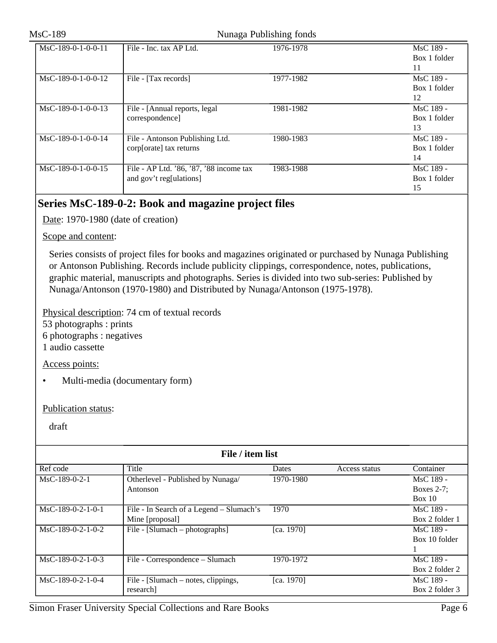#### MsC-189 Nunaga Publishing fonds

| $MsC-189-0-1-0-0-11$ | File - Inc. tax AP Ltd.                                            | 1976-1978 | MsC 189 -<br>Box 1 folder<br>11 |
|----------------------|--------------------------------------------------------------------|-----------|---------------------------------|
| $MsC-189-0-1-0-0-12$ | File - [Tax records]                                               | 1977-1982 | MsC 189 -<br>Box 1 folder<br>12 |
| $MsC-189-0-1-0-0-13$ | File - [Annual reports, legal]<br>correspondence]                  | 1981-1982 | MsC 189 -<br>Box 1 folder<br>13 |
| MsC-189-0-1-0-0-14   | File - Antonson Publishing Ltd.<br>corp[orate] tax returns         | 1980-1983 | MsC 189 -<br>Box 1 folder<br>14 |
| MsC-189-0-1-0-0-15   | File - AP Ltd. '86, '87, '88 income tax<br>and gov't reg[ulations] | 1983-1988 | MsC 189 -<br>Box 1 folder<br>15 |

## <span id="page-5-0"></span>**Series MsC-189-0-2: Book and magazine project files**

Date: 1970-1980 (date of creation)

Scope and content:

Series consists of project files for books and magazines originated or purchased by Nunaga Publishing or Antonson Publishing. Records include publicity clippings, correspondence, notes, publications, graphic material, manuscripts and photographs. Series is divided into two sub-series: Published by Nunaga/Antonson (1970-1980) and Distributed by Nunaga/Antonson (1975-1978).

Physical description: 74 cm of textual records

53 photographs : prints

6 photographs : negatives

1 audio cassette

Access points:

• Multi-media (documentary form)

Publication status:

| File / item list    |                                          |            |               |                |
|---------------------|------------------------------------------|------------|---------------|----------------|
| Ref code            | Title                                    | Dates      | Access status | Container      |
| $MsC-189-0-2-1$     | Otherlevel - Published by Nunaga/        | 1970-1980  |               | MsC 189 -      |
|                     | Antonson                                 |            |               | Boxes 2-7;     |
|                     |                                          |            |               | Box 10         |
| $MsC-189-0-2-1-0-1$ | File - In Search of a Legend - Slumach's | 1970       |               | MsC 189 -      |
|                     | Mine [proposal]                          |            |               | Box 2 folder 1 |
| $MsC-189-0-2-1-0-2$ | File - [Slumach – photographs]           | [ca. 1970] |               | MsC 189 -      |
|                     |                                          |            |               | Box 10 folder  |
|                     |                                          |            |               |                |
| $MsC-189-0-2-1-0-3$ | File - Correspondence – Slumach          | 1970-1972  |               | MsC 189 -      |
|                     |                                          |            |               | Box 2 folder 2 |
| $MsC-189-0-2-1-0-4$ | File - [Slumach – notes, clippings,      | [ca. 1970] |               | MsC 189 -      |
|                     | research]                                |            |               | Box 2 folder 3 |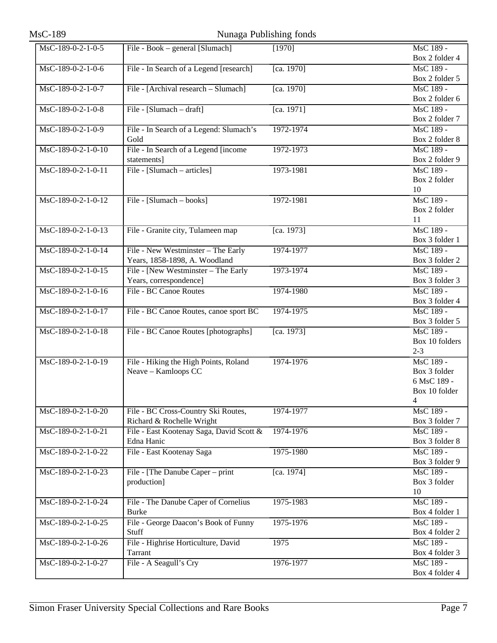| MsC-189              | Nunaga Publishing fonds                  |            |                           |
|----------------------|------------------------------------------|------------|---------------------------|
| MsC-189-0-2-1-0-5    | File - Book – general [Slumach]          | [1970]     | MsC 189 -                 |
|                      |                                          |            | Box 2 folder 4            |
| MsC-189-0-2-1-0-6    | File - In Search of a Legend [research]  | [ca. 1970] | MsC 189 -                 |
|                      |                                          |            | Box 2 folder 5            |
| MsC-189-0-2-1-0-7    | File - [Archival research - Slumach]     | [ca. 1970] | MsC 189 -                 |
|                      |                                          |            | Box 2 folder 6            |
| MsC-189-0-2-1-0-8    | File - [Slumach - draft]                 | [ca. 1971] | MsC 189 -                 |
|                      |                                          |            | Box 2 folder 7            |
| MsC-189-0-2-1-0-9    | File - In Search of a Legend: Slumach's  | 1972-1974  | MsC 189 -                 |
|                      | Gold                                     |            | Box 2 folder 8            |
| MsC-189-0-2-1-0-10   | File - In Search of a Legend [income     | 1972-1973  | MsC 189 -                 |
|                      | statements]                              |            | Box 2 folder 9            |
| MsC-189-0-2-1-0-11   | File - [Slumach – articles]              | 1973-1981  | MsC 189 -                 |
|                      |                                          |            | Box 2 folder              |
|                      |                                          |            | 10                        |
| $MsC-189-0-2-1-0-12$ | File - [Slumach – books]                 | 1972-1981  | MsC 189 -                 |
|                      |                                          |            | Box 2 folder              |
|                      |                                          |            | 11                        |
| $MsC-189-0-2-1-0-13$ | File - Granite city, Tulameen map        | [ca. 1973] | MsC 189 -                 |
|                      |                                          |            | Box 3 folder 1            |
| MsC-189-0-2-1-0-14   | File - New Westminster - The Early       | 1974-1977  | MsC 189 -                 |
|                      | Years, 1858-1898, A. Woodland            |            | Box 3 folder 2            |
| MsC-189-0-2-1-0-15   | File - [New Westminster - The Early      | 1973-1974  | MsC 189 -                 |
|                      | Years, correspondence]                   |            | Box 3 folder 3            |
| $MsC-189-0-2-1-0-16$ | File - BC Canoe Routes                   | 1974-1980  | MsC 189 -                 |
|                      |                                          |            | Box 3 folder 4            |
| MsC-189-0-2-1-0-17   | File - BC Canoe Routes, canoe sport BC   | 1974-1975  | MsC 189 -                 |
|                      |                                          |            | Box 3 folder 5            |
| MsC-189-0-2-1-0-18   | File - BC Canoe Routes [photographs]     | [ca. 1973] | MsC 189 -                 |
|                      |                                          |            | Box 10 folders            |
|                      |                                          |            | $2 - 3$                   |
| MsC-189-0-2-1-0-19   | File - Hiking the High Points, Roland    | 1974-1976  | MsC 189 -                 |
|                      | Neave - Kamloops CC                      |            | Box 3 folder              |
|                      |                                          |            | 6 MsC 189 -               |
|                      |                                          |            | Box 10 folder             |
|                      |                                          |            | 4                         |
| MsC-189-0-2-1-0-20   | File - BC Cross-Country Ski Routes,      | 1974-1977  | MsC 189 -                 |
|                      | Richard & Rochelle Wright                |            | Box 3 folder 7            |
| MsC-189-0-2-1-0-21   | File - East Kootenay Saga, David Scott & | 1974-1976  | MsC 189 -                 |
|                      | Edna Hanic                               |            | Box 3 folder 8            |
| $MsC-189-0-2-1-0-22$ | File - East Kootenay Saga                | 1975-1980  | MsC 189 -                 |
|                      |                                          |            | Box 3 folder 9            |
| MsC-189-0-2-1-0-23   | File - [The Danube Caper – print         | [ca. 1974] | MsC 189 -<br>Box 3 folder |
|                      | production]                              |            | 10                        |
| MsC-189-0-2-1-0-24   | File - The Danube Caper of Cornelius     | 1975-1983  | MsC 189 -                 |
|                      | <b>Burke</b>                             |            | Box 4 folder 1            |
| MsC-189-0-2-1-0-25   | File - George Daacon's Book of Funny     | 1975-1976  | MsC 189 -                 |
|                      | Stuff                                    |            | Box 4 folder 2            |
| MsC-189-0-2-1-0-26   | File - Highrise Horticulture, David      | 1975       | MsC 189 -                 |
|                      | <b>Tarrant</b>                           |            | Box 4 folder 3            |
| MsC-189-0-2-1-0-27   | File - A Seagull's Cry                   | 1976-1977  | MsC 189 -                 |
|                      |                                          |            | Box 4 folder 4            |
|                      |                                          |            |                           |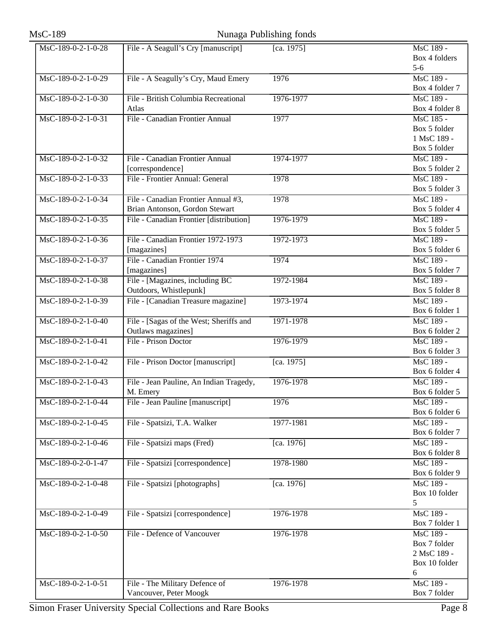# MsC-189 Nunaga Publishing fonds

| MsC-189-0-2-1-0-28                     | File - A Seagull's Cry [manuscript]     | [ca. 1975] | MsC 189 -      |
|----------------------------------------|-----------------------------------------|------------|----------------|
|                                        |                                         |            | Box 4 folders  |
|                                        |                                         |            | $5-6$          |
| MsC-189-0-2-1-0-29                     | File - A Seagully's Cry, Maud Emery     | 1976       | MsC 189 -      |
|                                        |                                         |            | Box 4 folder 7 |
| MsC-189-0-2-1-0-30                     | File - British Columbia Recreational    | 1976-1977  | MsC 189 -      |
|                                        | Atlas                                   |            | Box 4 folder 8 |
| MsC-189-0-2-1-0-31                     | File - Canadian Frontier Annual         | 1977       | MsC 185 -      |
|                                        |                                         |            | Box 5 folder   |
|                                        |                                         |            | 1 MsC 189 -    |
|                                        |                                         |            | Box 5 folder   |
| $\overline{\text{MsC-189-0-2-1-0-32}}$ | File - Canadian Frontier Annual         | 1974-1977  | MsC 189 -      |
|                                        | [correspondence]                        |            | Box 5 folder 2 |
| MsC-189-0-2-1-0-33                     | File - Frontier Annual: General         | 1978       | MsC 189 -      |
|                                        |                                         |            | Box 5 folder 3 |
| MsC-189-0-2-1-0-34                     | File - Canadian Frontier Annual #3,     | 1978       | MsC 189 -      |
|                                        | Brian Antonson, Gordon Stewart          |            | Box 5 folder 4 |
| MsC-189-0-2-1-0-35                     | File - Canadian Frontier [distribution] | 1976-1979  | MsC 189 -      |
|                                        |                                         |            | Box 5 folder 5 |
| MsC-189-0-2-1-0-36                     | File - Canadian Frontier 1972-1973      | 1972-1973  | MsC 189 -      |
|                                        | [magazines]                             |            | Box 5 folder 6 |
| MsC-189-0-2-1-0-37                     | File - Canadian Frontier 1974           | 1974       | MsC 189 -      |
|                                        | [magazines]                             |            | Box 5 folder 7 |
| MsC-189-0-2-1-0-38                     | File - [Magazines, including BC         | 1972-1984  | MsC 189 -      |
|                                        | Outdoors, Whistlepunk]                  |            | Box 5 folder 8 |
| MsC-189-0-2-1-0-39                     | File - [Canadian Treasure magazine]     | 1973-1974  | MsC 189 -      |
|                                        |                                         |            | Box 6 folder 1 |
| MsC-189-0-2-1-0-40                     | File - [Sagas of the West; Sheriffs and | 1971-1978  | MsC 189 -      |
|                                        | Outlaws magazines]                      |            | Box 6 folder 2 |
| MsC-189-0-2-1-0-41                     | File - Prison Doctor                    | 1976-1979  | MsC 189 -      |
|                                        |                                         |            | Box 6 folder 3 |
| MsC-189-0-2-1-0-42                     | File - Prison Doctor [manuscript]       | [ca. 1975] | MsC 189 -      |
|                                        |                                         |            | Box 6 folder 4 |
| MsC-189-0-2-1-0-43                     | File - Jean Pauline, An Indian Tragedy, | 1976-1978  | MsC 189 -      |
|                                        | M. Emery                                |            | Box 6 folder 5 |
| MsC-189-0-2-1-0-44                     | File - Jean Pauline [manuscript]        | 1976       | MsC 189 -      |
|                                        |                                         |            | Box 6 folder 6 |
| MsC-189-0-2-1-0-45                     | File - Spatsizi, T.A. Walker            | 1977-1981  | MsC 189 -      |
|                                        |                                         |            | Box 6 folder 7 |
| MsC-189-0-2-1-0-46                     | File - Spatsizi maps (Fred)             | [ca. 1976] | MsC 189 -      |
|                                        |                                         |            | Box 6 folder 8 |
| MsC-189-0-2-0-1-47                     | File - Spatsizi [correspondence]        | 1978-1980  | MsC 189 -      |
|                                        |                                         |            | Box 6 folder 9 |
| MsC-189-0-2-1-0-48                     | File - Spatsizi [photographs]           | [ca. 1976] | MsC 189 -      |
|                                        |                                         |            | Box 10 folder  |
|                                        |                                         |            | 5              |
| MsC-189-0-2-1-0-49                     | File - Spatsizi [correspondence]        | 1976-1978  | MsC 189 -      |
|                                        |                                         |            | Box 7 folder 1 |
| MsC-189-0-2-1-0-50                     | File - Defence of Vancouver             | 1976-1978  | MsC 189 -      |
|                                        |                                         |            | Box 7 folder   |
|                                        |                                         |            | 2 MsC 189 -    |
|                                        |                                         |            | Box 10 folder  |
|                                        |                                         |            | 6              |
| $Ms\overline{C-189-0-2-1-0-51}$        | File - The Military Defence of          | 1976-1978  | MsC 189 -      |
|                                        | Vancouver, Peter Moogk                  |            | Box 7 folder   |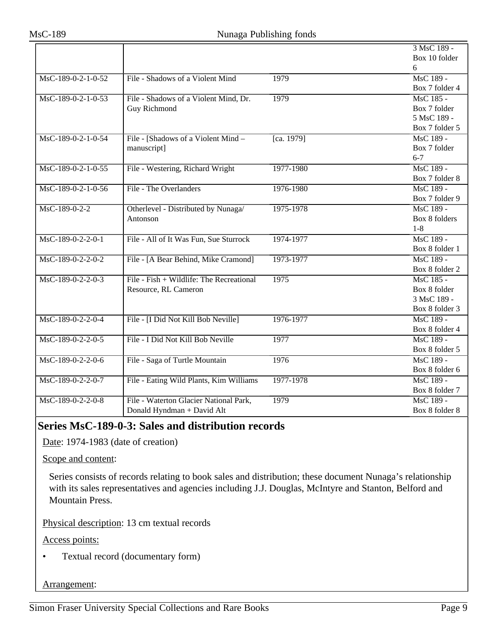|                     |                                          |            | 3 MsC 189 -    |
|---------------------|------------------------------------------|------------|----------------|
|                     |                                          |            | Box 10 folder  |
|                     |                                          |            | 6              |
| MsC-189-0-2-1-0-52  | File - Shadows of a Violent Mind         | 1979       | MsC 189 -      |
|                     |                                          |            | Box 7 folder 4 |
| MsC-189-0-2-1-0-53  | File - Shadows of a Violent Mind, Dr.    | 1979       | MsC 185 -      |
|                     | <b>Guy Richmond</b>                      |            | Box 7 folder   |
|                     |                                          |            | 5 MsC 189 -    |
|                     |                                          |            | Box 7 folder 5 |
| MsC-189-0-2-1-0-54  | File - [Shadows of a Violent Mind -      | [ca. 1979] | MsC 189 -      |
|                     | manuscript]                              |            | Box 7 folder   |
|                     |                                          |            | $6 - 7$        |
| MsC-189-0-2-1-0-55  | File - Westering, Richard Wright         | 1977-1980  | MsC 189 -      |
|                     |                                          |            | Box 7 folder 8 |
| MsC-189-0-2-1-0-56  | File - The Overlanders                   | 1976-1980  | MsC 189 -      |
|                     |                                          |            | Box 7 folder 9 |
| MsC-189-0-2-2       | Otherlevel - Distributed by Nunaga/      | 1975-1978  | MsC 189 -      |
|                     | Antonson                                 |            | Box 8 folders  |
|                     |                                          |            | $1 - 8$        |
| $MsC-189-0-2-2-0-1$ | File - All of It Was Fun, Sue Sturrock   | 1974-1977  | MsC 189 -      |
|                     |                                          |            | Box 8 folder 1 |
| MsC-189-0-2-2-0-2   | File - [A Bear Behind, Mike Cramond]     | 1973-1977  | MsC 189 -      |
|                     |                                          |            | Box 8 folder 2 |
| MsC-189-0-2-2-0-3   | File - Fish + Wildlife: The Recreational | 1975       | MsC 185 -      |
|                     | Resource, RL Cameron                     |            | Box 8 folder   |
|                     |                                          |            | 3 MsC 189 -    |
|                     |                                          |            | Box 8 folder 3 |
| MsC-189-0-2-2-0-4   | File - [I Did Not Kill Bob Neville]      | 1976-1977  | MsC 189 -      |
|                     |                                          |            | Box 8 folder 4 |
| MsC-189-0-2-2-0-5   | File - I Did Not Kill Bob Neville        | 1977       | MsC 189 -      |
|                     |                                          |            | Box 8 folder 5 |
| MsC-189-0-2-2-0-6   | File - Saga of Turtle Mountain           | 1976       | MsC 189 -      |
|                     |                                          |            | Box 8 folder 6 |
| MsC-189-0-2-2-0-7   | File - Eating Wild Plants, Kim Williams  | 1977-1978  | MsC 189 -      |
|                     |                                          |            | Box 8 folder 7 |
| MsC-189-0-2-2-0-8   | File - Waterton Glacier National Park,   | 1979       | MsC 189 -      |
|                     | Donald Hyndman + David Alt               |            | Box 8 folder 8 |

## <span id="page-8-0"></span>**Series MsC-189-0-3: Sales and distribution records**

Date: 1974-1983 (date of creation)

Scope and content:

Series consists of records relating to book sales and distribution; these document Nunaga's relationship with its sales representatives and agencies including J.J. Douglas, McIntyre and Stanton, Belford and Mountain Press.

Physical description: 13 cm textual records

Access points:

• Textual record (documentary form)

#### Arrangement: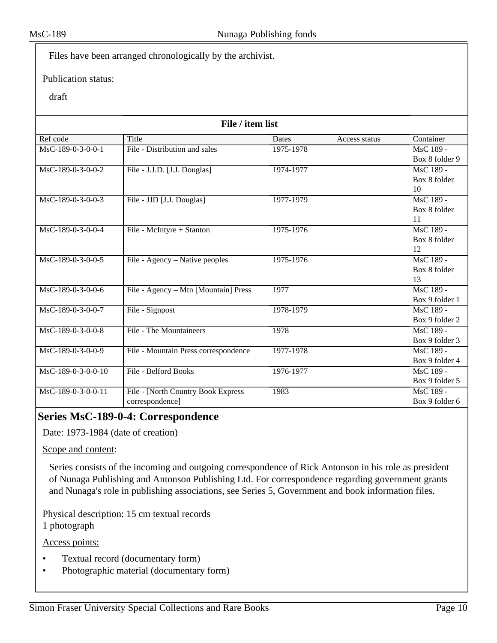Files have been arranged chronologically by the archivist.

#### Publication status:

#### draft

| File / item list    |                                      |           |               |                |
|---------------------|--------------------------------------|-----------|---------------|----------------|
| Ref code            | Title                                | Dates     | Access status | Container      |
| MsC-189-0-3-0-0-1   | File - Distribution and sales        | 1975-1978 |               | MsC 189 -      |
|                     |                                      |           |               | Box 8 folder 9 |
| MsC-189-0-3-0-0-2   | File - J.J.D. [J.J. Douglas]         | 1974-1977 |               | MsC 189 -      |
|                     |                                      |           |               | Box 8 folder   |
|                     |                                      |           |               | 10             |
| $MsC-189-0-3-0-0-3$ | File - JJD [J.J. Douglas]            | 1977-1979 |               | MsC 189 -      |
|                     |                                      |           |               | Box 8 folder   |
|                     |                                      |           |               | 11             |
| MsC-189-0-3-0-0-4   | File - McIntyre + Stanton            | 1975-1976 |               | MsC 189 -      |
|                     |                                      |           |               | Box 8 folder   |
|                     |                                      |           |               | 12             |
| MsC-189-0-3-0-0-5   | File - Agency – Native peoples       | 1975-1976 |               | MsC 189 -      |
|                     |                                      |           |               | Box 8 folder   |
|                     |                                      |           |               | 13             |
| $MsC-189-0-3-0-0-6$ | File - Agency - Mtn [Mountain] Press | 1977      |               | $MsC$ 189 -    |
|                     |                                      |           |               | Box 9 folder 1 |
| MsC-189-0-3-0-0-7   | File - Signpost                      | 1978-1979 |               | MsC 189 -      |
|                     |                                      |           |               | Box 9 folder 2 |
| MsC-189-0-3-0-0-8   | <b>File - The Mountaineers</b>       | 1978      |               | MsC 189 -      |
|                     |                                      |           |               | Box 9 folder 3 |
| MsC-189-0-3-0-0-9   | File - Mountain Press correspondence | 1977-1978 |               | $MsC$ 189 -    |
|                     |                                      |           |               | Box 9 folder 4 |
| MsC-189-0-3-0-0-10  | File - Belford Books                 | 1976-1977 |               | MsC 189 -      |
|                     |                                      |           |               | Box 9 folder 5 |
| MsC-189-0-3-0-0-11  | File - [North Country Book Express   | 1983      |               | MsC 189 -      |
|                     | correspondence]                      |           |               | Box 9 folder 6 |

## <span id="page-9-0"></span>**Series MsC-189-0-4: Correspondence**

Date: 1973-1984 (date of creation)

Scope and content:

Series consists of the incoming and outgoing correspondence of Rick Antonson in his role as president of Nunaga Publishing and Antonson Publishing Ltd. For correspondence regarding government grants and Nunaga's role in publishing associations, see Series 5, Government and book information files.

Physical description: 15 cm textual records

1 photograph

Access points:

- Textual record (documentary form)
- Photographic material (documentary form)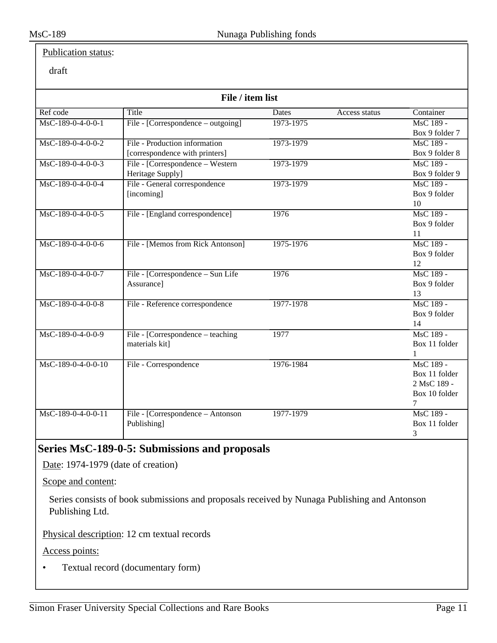#### Publication status:

#### draft

| File / item list    |                                    |              |               |                |
|---------------------|------------------------------------|--------------|---------------|----------------|
| Ref code            | Title                              | <b>Dates</b> | Access status | Container      |
| $MsC-189-0-4-0-0-1$ | File - [Correspondence – outgoing] | 1973-1975    |               | MsC 189 -      |
|                     |                                    |              |               | Box 9 folder 7 |
| $MsC-189-0-4-0-0-2$ | File - Production information      | 1973-1979    |               | MsC 189 -      |
|                     | [correspondence with printers]     |              |               | Box 9 folder 8 |
| $MsC-189-0-4-0-0-3$ | File - [Correspondence – Western   | 1973-1979    |               | MsC 189 -      |
|                     | Heritage Supply]                   |              |               | Box 9 folder 9 |
| MsC-189-0-4-0-0-4   | File - General correspondence      | 1973-1979    |               | MsC 189 -      |
|                     | [incoming]                         |              |               | Box 9 folder   |
|                     |                                    |              |               | 10             |
| MsC-189-0-4-0-0-5   | File - [England correspondence]    | 1976         |               | MsC 189 -      |
|                     |                                    |              |               | Box 9 folder   |
|                     |                                    |              |               | 11             |
| $MsC-189-0-4-0-0-6$ | File - [Memos from Rick Antonson]  | 1975-1976    |               | MsC 189 -      |
|                     |                                    |              |               | Box 9 folder   |
|                     |                                    |              |               | 12             |
| $MsC-189-0-4-0-0-7$ | File - [Correspondence – Sun Life  | 1976         |               | MsC 189 -      |
|                     | Assurance]                         |              |               | Box 9 folder   |
|                     |                                    |              |               | 13             |
| $MsC-189-0-4-0-0-8$ | File - Reference correspondence    | 1977-1978    |               | MsC 189 -      |
|                     |                                    |              |               | Box 9 folder   |
|                     |                                    |              |               | 14             |
| MsC-189-0-4-0-0-9   | File - [Correspondence – teaching] | 1977         |               | MsC 189 -      |
|                     | materials kit]                     |              |               | Box 11 folder  |
|                     |                                    |              |               | 1              |
| MsC-189-0-4-0-0-10  | File - Correspondence              | 1976-1984    |               | MsC 189 -      |
|                     |                                    |              |               | Box 11 folder  |
|                     |                                    |              |               | 2 MsC 189 -    |
|                     |                                    |              |               | Box 10 folder  |
|                     |                                    |              |               | 7              |
| MsC-189-0-4-0-0-11  | File - [Correspondence – Antonson  | 1977-1979    |               | MsC 189 -      |
|                     | Publishing]                        |              |               | Box 11 folder  |
|                     |                                    |              |               | 3              |

## <span id="page-10-0"></span>**Series MsC-189-0-5: Submissions and proposals**

Date: 1974-1979 (date of creation)

Scope and content:

Series consists of book submissions and proposals received by Nunaga Publishing and Antonson Publishing Ltd.

Physical description: 12 cm textual records

Access points:

• Textual record (documentary form)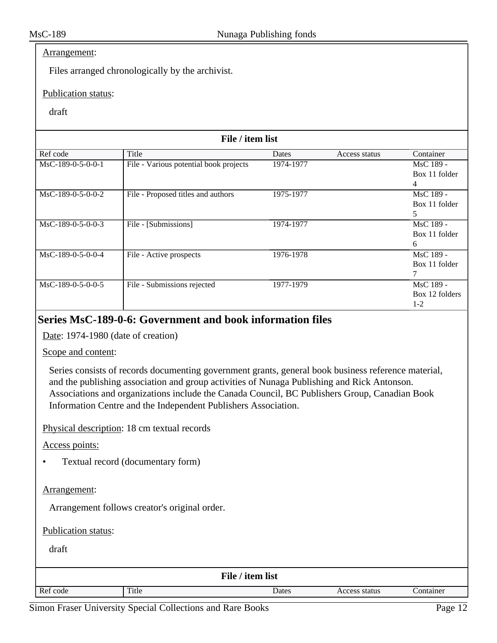#### Arrangement:

Files arranged chronologically by the archivist.

#### Publication status:

#### draft

| File / item list    |                                        |           |               |                |
|---------------------|----------------------------------------|-----------|---------------|----------------|
| Ref code            | Title                                  | Dates     | Access status | Container      |
| $MsC-189-0-5-0-0-1$ | File - Various potential book projects | 1974-1977 |               | MsC 189 -      |
|                     |                                        |           |               | Box 11 folder  |
|                     |                                        |           |               | 4              |
| MsC-189-0-5-0-0-2   | File - Proposed titles and authors     | 1975-1977 |               | MsC 189 -      |
|                     |                                        |           |               | Box 11 folder  |
|                     |                                        |           |               | 5              |
| MsC-189-0-5-0-0-3   | File - [Submissions]                   | 1974-1977 |               | MsC 189 -      |
|                     |                                        |           |               | Box 11 folder  |
|                     |                                        |           |               | 6              |
| $MsC-189-0-5-0-0-4$ | File - Active prospects                | 1976-1978 |               | MsC 189 -      |
|                     |                                        |           |               | Box 11 folder  |
|                     |                                        |           |               |                |
| MsC-189-0-5-0-0-5   | File - Submissions rejected            | 1977-1979 |               | MsC 189 -      |
|                     |                                        |           |               | Box 12 folders |
|                     |                                        |           |               | $1-2$          |

#### <span id="page-11-0"></span>**Series MsC-189-0-6: Government and book information files**

Date: 1974-1980 (date of creation)

Scope and content:

Series consists of records documenting government grants, general book business reference material, and the publishing association and group activities of Nunaga Publishing and Rick Antonson. Associations and organizations include the Canada Council, BC Publishers Group, Canadian Book Information Centre and the Independent Publishers Association.

Physical description: 18 cm textual records

Access points:

• Textual record (documentary form)

#### Arrangement:

Arrangement follows creator's original order.

Publication status:

| File / item list |       |       |               |           |  |
|------------------|-------|-------|---------------|-----------|--|
| Ref code         | Title | Dates | Access status | Container |  |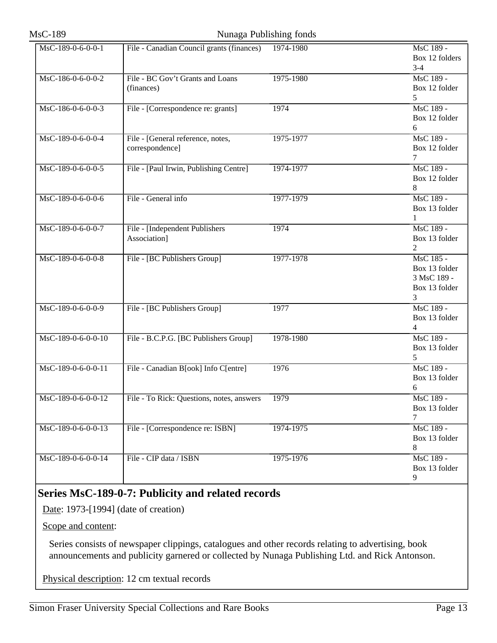#### MsC-189 Nunaga Publishing fonds

| MsC-189-0-6-0-0-1                     | File - Canadian Council grants (finances) | 1974-1980 | MsC 189 -      |
|---------------------------------------|-------------------------------------------|-----------|----------------|
|                                       |                                           |           | Box 12 folders |
|                                       |                                           |           | $3-4$          |
| MsC-186-0-6-0-0-2                     | File - BC Gov't Grants and Loans          | 1975-1980 | MsC 189 -      |
|                                       | (finances)                                |           | Box 12 folder  |
|                                       |                                           |           | 5              |
| $\overline{\text{MsC-186-0-6-0-3}}$   | File - [Correspondence re: grants]        | 1974      | MsC 189 -      |
|                                       |                                           |           | Box 12 folder  |
|                                       |                                           |           | 6              |
| MsC-189-0-6-0-0-4                     | File - [General reference, notes,         | 1975-1977 | MsC 189 -      |
|                                       | correspondence]                           |           | Box 12 folder  |
|                                       |                                           |           | 7              |
| MsC-189-0-6-0-0-5                     | File - [Paul Irwin, Publishing Centre]    | 1974-1977 | MsC 189 -      |
|                                       |                                           |           | Box 12 folder  |
|                                       |                                           |           | 8              |
| MsC-189-0-6-0-0-6                     | File - General info                       | 1977-1979 | MsC 189 -      |
|                                       |                                           |           | Box 13 folder  |
|                                       |                                           |           | 1              |
| MsC-189-0-6-0-0-7                     | File - [Independent Publishers            | 1974      | MsC 189 -      |
|                                       | Association]                              |           | Box 13 folder  |
|                                       |                                           |           | 2              |
| $\overline{\text{MsC-189-0-6-0-0-8}}$ | File - [BC Publishers Group]              | 1977-1978 | MsC 185 -      |
|                                       |                                           |           | Box 13 folder  |
|                                       |                                           |           | 3 MsC 189 -    |
|                                       |                                           |           | Box 13 folder  |
|                                       |                                           |           | 3              |
| MsC-189-0-6-0-0-9                     | File - [BC Publishers Group]              | 1977      | MsC 189 -      |
|                                       |                                           |           | Box 13 folder  |
|                                       |                                           |           | 4              |
| MsC-189-0-6-0-0-10                    | File - B.C.P.G. [BC Publishers Group]     | 1978-1980 | MsC 189 -      |
|                                       |                                           |           | Box 13 folder  |
|                                       |                                           |           | 5              |
| MsC-189-0-6-0-0-11                    | File - Canadian B[ook] Info C[entre]      | 1976      | MsC 189 -      |
|                                       |                                           |           | Box 13 folder  |
|                                       |                                           |           | 6              |
| MsC-189-0-6-0-0-12                    | File - To Rick: Questions, notes, answers | 1979      | MsC 189 -      |
|                                       |                                           |           | Box 13 folder  |
|                                       |                                           |           | 7              |
| MsC-189-0-6-0-0-13                    | File - [Correspondence re: ISBN]          | 1974-1975 | MsC 189 -      |
|                                       |                                           |           | Box 13 folder  |
|                                       |                                           |           | 8              |
| MsC-189-0-6-0-0-14                    | File - CIP data / ISBN                    | 1975-1976 | MsC 189 -      |
|                                       |                                           |           | Box 13 folder  |
|                                       |                                           |           | 9              |
|                                       |                                           |           |                |

## <span id="page-12-0"></span>**Series MsC-189-0-7: Publicity and related records**

Date: 1973-[1994] (date of creation)

Scope and content:

Series consists of newspaper clippings, catalogues and other records relating to advertising, book announcements and publicity garnered or collected by Nunaga Publishing Ltd. and Rick Antonson.

Physical description: 12 cm textual records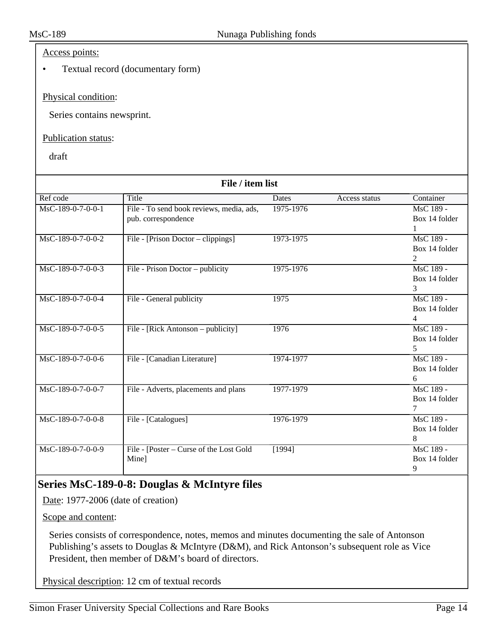#### Access points:

• Textual record (documentary form)

#### Physical condition:

Series contains newsprint.

#### Publication status:

draft

| File / item list                      |                                          |           |               |               |  |
|---------------------------------------|------------------------------------------|-----------|---------------|---------------|--|
| Ref code                              | Title                                    | Dates     | Access status | Container     |  |
| $\overline{\text{MsC-189-0-7-0-0-1}}$ | File - To send book reviews, media, ads, | 1975-1976 |               | MsC 189 -     |  |
|                                       | pub. correspondence                      |           |               | Box 14 folder |  |
|                                       |                                          |           |               | $\mathbf{1}$  |  |
| MsC-189-0-7-0-0-2                     | File - [Prison Doctor – clippings]       | 1973-1975 |               | MsC 189 -     |  |
|                                       |                                          |           |               | Box 14 folder |  |
|                                       |                                          |           |               | 2             |  |
| $\overline{\text{MsC-189-0-7-0-0-3}}$ | File - Prison Doctor - publicity         | 1975-1976 |               | MsC 189 -     |  |
|                                       |                                          |           |               | Box 14 folder |  |
|                                       |                                          |           |               | 3             |  |
| MsC-189-0-7-0-0-4                     | File - General publicity                 | 1975      |               | MsC 189 -     |  |
|                                       |                                          |           |               | Box 14 folder |  |
|                                       |                                          |           |               | 4             |  |
| MsC-189-0-7-0-0-5                     | File - [Rick Antonson – publicity]       | 1976      |               | MsC 189 -     |  |
|                                       |                                          |           |               | Box 14 folder |  |
|                                       |                                          |           |               | 5.            |  |
| MsC-189-0-7-0-0-6                     | File - [Canadian Literature]             | 1974-1977 |               | MsC 189 -     |  |
|                                       |                                          |           |               | Box 14 folder |  |
|                                       |                                          |           |               | 6             |  |
| MsC-189-0-7-0-0-7                     | File - Adverts, placements and plans     | 1977-1979 |               | MsC 189 -     |  |
|                                       |                                          |           |               | Box 14 folder |  |
|                                       |                                          |           |               | 7             |  |
| $MsC-189-0-7-0-0-8$                   | File - [Catalogues]                      | 1976-1979 |               | MsC 189 -     |  |
|                                       |                                          |           |               | Box 14 folder |  |
|                                       |                                          |           |               | 8             |  |
| MsC-189-0-7-0-0-9                     | File - [Poster – Curse of the Lost Gold  | [1994]    |               | MsC 189 -     |  |
|                                       | Mine]                                    |           |               | Box 14 folder |  |
|                                       |                                          |           |               | 9             |  |

## <span id="page-13-0"></span>**Series MsC-189-0-8: Douglas & McIntyre files**

Date: 1977-2006 (date of creation)

Scope and content:

Series consists of correspondence, notes, memos and minutes documenting the sale of Antonson Publishing's assets to Douglas & McIntyre (D&M), and Rick Antonson's subsequent role as Vice President, then member of D&M's board of directors.

Physical description: 12 cm of textual records